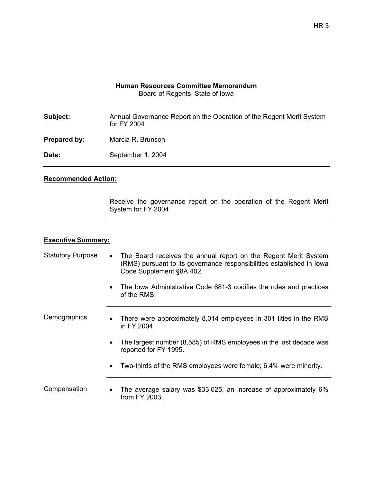## **Human Resources Committee Memorandum**  Board of Regents, State of Iowa

| Subject:     | Annual Governance Report on the Operation of the Regent Merit System<br>for FY 2004 |
|--------------|-------------------------------------------------------------------------------------|
| Prepared by: | Marcia R. Brunson                                                                   |
| Date:        | September 1, 2004                                                                   |

## **Recommended Action:**

Receive the governance report on the operation of the Regent Merit System for FY 2004.

## **Executive Summary:**

Statutory Purpose • The Board receives the annual report on the Regent Merit System (RMS) pursuant to its governance responsibilities established in Iowa Code Supplement §8A.402.

> • The Iowa Administrative Code 681-3 codifies the rules and practices of the RMS.

Demographics • There were approximately 8,014 employees in 301 titles in the RMS in FY 2004.

- The largest number (8,585) of RMS employees in the last decade was reported for FY 1995.
- Two-thirds of the RMS employees were female; 6.4% were minority.

Compensation • The average salary was \$33,025, an increase of approximately 6% from FY 2003.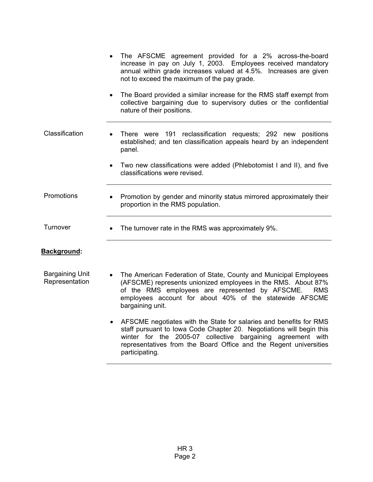|                                          | The AFSCME agreement provided for a 2% across-the-board<br>increase in pay on July 1, 2003. Employees received mandatory<br>annual within grade increases valued at 4.5%. Increases are given<br>not to exceed the maximum of the pay grade.                                      |
|------------------------------------------|-----------------------------------------------------------------------------------------------------------------------------------------------------------------------------------------------------------------------------------------------------------------------------------|
|                                          | The Board provided a similar increase for the RMS staff exempt from<br>$\bullet$<br>collective bargaining due to supervisory duties or the confidential<br>nature of their positions.                                                                                             |
| Classification                           | There were 191 reclassification requests; 292 new positions<br>established; and ten classification appeals heard by an independent<br>panel.                                                                                                                                      |
|                                          | Two new classifications were added (Phlebotomist I and II), and five<br>classifications were revised.                                                                                                                                                                             |
| Promotions                               | Promotion by gender and minority status mirrored approximately their<br>proportion in the RMS population.                                                                                                                                                                         |
| Turnover                                 | The turnover rate in the RMS was approximately 9%.<br>$\bullet$                                                                                                                                                                                                                   |
| Background:                              |                                                                                                                                                                                                                                                                                   |
| <b>Bargaining Unit</b><br>Representation | The American Federation of State, County and Municipal Employees<br>(AFSCME) represents unionized employees in the RMS. About 87%<br>of the RMS employees are represented by AFSCME.<br><b>RMS</b><br>employees account for about 40% of the statewide AFSCME<br>bargaining unit. |

• AFSCME negotiates with the State for salaries and benefits for RMS staff pursuant to Iowa Code Chapter 20. Negotiations will begin this winter for the 2005-07 collective bargaining agreement with representatives from the Board Office and the Regent universities participating.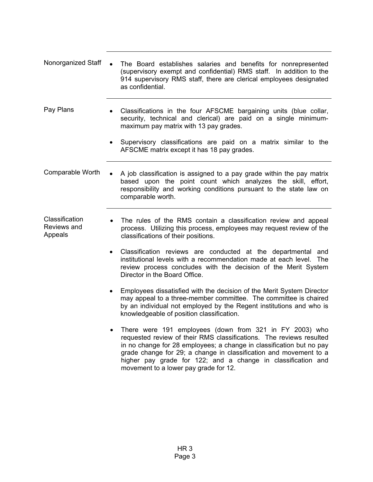- Nonorganized Staff The Board establishes salaries and benefits for nonrepresented (supervisory exempt and confidential) RMS staff. In addition to the 914 supervisory RMS staff, there are clerical employees designated as confidential.
- Pay Plans Classifications in the four AFSCME bargaining units (blue collar, security, technical and clerical) are paid on a single minimummaximum pay matrix with 13 pay grades.
	- Supervisory classifications are paid on a matrix similar to the AFSCME matrix except it has 18 pay grades.

Comparable Worth  $\bullet$  A job classification is assigned to a pay grade within the pay matrix based upon the point count which analyzes the skill, effort, responsibility and working conditions pursuant to the state law on comparable worth.

- **Classification** Reviews and Appeals The rules of the RMS contain a classification review and appeal process. Utilizing this process, employees may request review of the classifications of their positions.
	- Classification reviews are conducted at the departmental and institutional levels with a recommendation made at each level. The review process concludes with the decision of the Merit System Director in the Board Office.
	- Employees dissatisfied with the decision of the Merit System Director may appeal to a three-member committee. The committee is chaired by an individual not employed by the Regent institutions and who is knowledgeable of position classification.
	- There were 191 employees (down from 321 in FY 2003) who requested review of their RMS classifications. The reviews resulted in no change for 28 employees; a change in classification but no pay grade change for 29; a change in classification and movement to a higher pay grade for 122; and a change in classification and movement to a lower pay grade for 12.